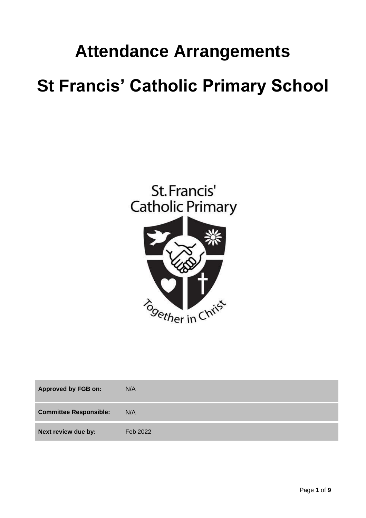# **Attendance Arrangements St Francis' Catholic Primary School**



| <b>Approved by FGB on:</b>    | N/A      |
|-------------------------------|----------|
| <b>Committee Responsible:</b> | N/A      |
| Next review due by:           | Feb 2022 |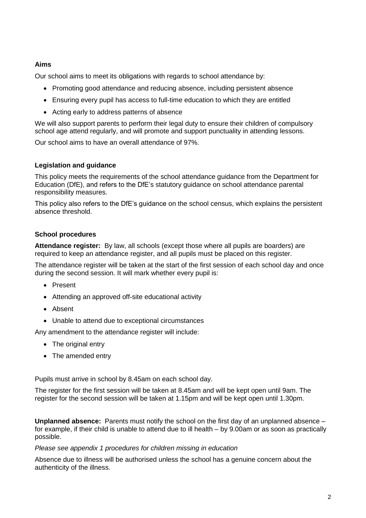## **Aims**

Our school aims to meet its obligations with regards to school attendance by:

- Promoting good attendance and reducing absence, including persistent absence
- Ensuring every pupil has access to full-time education to which they are entitled
- Acting early to address patterns of absence

We will also support parents to perform their legal duty to ensure their children of compulsory school age attend regularly, and will promote and support punctuality in attending lessons.

Our school aims to have an overall attendance of 97%.

### **Legislation and guidance**

This policy meets the requirements of the [school attendance guidance](https://www.gov.uk/government/publications/school-attendance) from the Department for Education (DfE), and refers to the DfE's statutory guidance on [school attendance parental](https://www.gov.uk/government/publications/parental-responsibility-measures-for-behaviour-and-attendance)  [responsibility measures.](https://www.gov.uk/government/publications/parental-responsibility-measures-for-behaviour-and-attendance)

This policy also refers to the DfE's guidance on the [school census,](https://www.gov.uk/government/publications/school-census-2017-to-2018-guide-for-schools-and-las) which explains the persistent absence threshold.

### **School procedures**

**Attendance register:** By law, all schools (except those where all pupils are boarders) are required to keep an attendance register, and all pupils must be placed on this register.

The attendance register will be taken at the start of the first session of each school day and once during the second session. It will mark whether every pupil is:

- Present
- Attending an approved off-site educational activity
- Absent
- Unable to attend due to exceptional circumstances

Any amendment to the attendance register will include:

- The original entry
- The amended entry

Pupils must arrive in school by 8.45am on each school day.

The register for the first session will be taken at 8.45am and will be kept open until 9am. The register for the second session will be taken at 1.15pm and will be kept open until 1.30pm.

**Unplanned absence:** Parents must notify the school on the first day of an unplanned absence – for example, if their child is unable to attend due to ill health – by 9.00am or as soon as practically possible.

#### *Please see appendix 1 procedures for children missing in education*

Absence due to illness will be authorised unless the school has a genuine concern about the authenticity of the illness.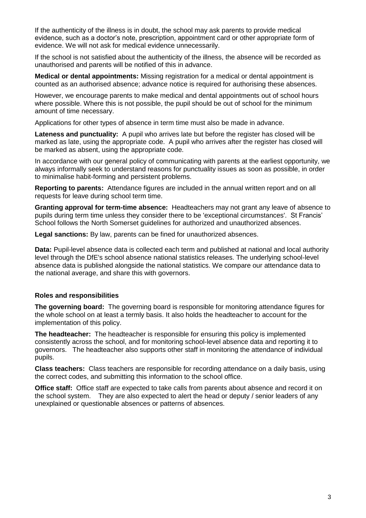If the authenticity of the illness is in doubt, the school may ask parents to provide medical evidence, such as a doctor's note, prescription, appointment card or other appropriate form of evidence. We will not ask for medical evidence unnecessarily.

If the school is not satisfied about the authenticity of the illness, the absence will be recorded as unauthorised and parents will be notified of this in advance.

**Medical or dental appointments:** Missing registration for a medical or dental appointment is counted as an authorised absence; advance notice is required for authorising these absences.

However, we encourage parents to make medical and dental appointments out of school hours where possible. Where this is not possible, the pupil should be out of school for the minimum amount of time necessary.

Applications for other types of absence in term time must also be made in advance.

**Lateness and punctuality:** A pupil who arrives late but before the register has closed will be marked as late, using the appropriate code. A pupil who arrives after the register has closed will be marked as absent, using the appropriate code.

In accordance with our general policy of communicating with parents at the earliest opportunity, we always informally seek to understand reasons for punctuality issues as soon as possible, in order to minimalise habit-forming and persistent problems.

**Reporting to parents:** Attendance figures are included in the annual written report and on all requests for leave during school term time.

**Granting approval for term-time absence:** Headteachers may not grant any leave of absence to pupils during term time unless they consider there to be 'exceptional circumstances'. St Francis' School follows the North Somerset guidelines for authorized and unauthorized absences.

**Legal sanctions:** By law, parents can be fined for unauthorized absences.

Data: Pupil-level absence data is collected each term and published at national and local authority level through the DfE's school absence national statistics releases. The underlying school-level absence data is published alongside the national statistics. We compare our attendance data to the national average, and share this with governors.

#### **Roles and responsibilities**

**The governing board:** The governing board is responsible for monitoring attendance figures for the whole school on at least a termly basis. It also holds the headteacher to account for the implementation of this policy.

**The headteacher:** The headteacher is responsible for ensuring this policy is implemented consistently across the school, and for monitoring school-level absence data and reporting it to governors. The headteacher also supports other staff in monitoring the attendance of individual pupils.

**Class teachers:** Class teachers are responsible for recording attendance on a daily basis, using the correct codes, and submitting this information to the school office.

**Office staff:** Office staff are expected to take calls from parents about absence and record it on the school system. They are also expected to alert the head or deputy / senior leaders of any unexplained or questionable absences or patterns of absences.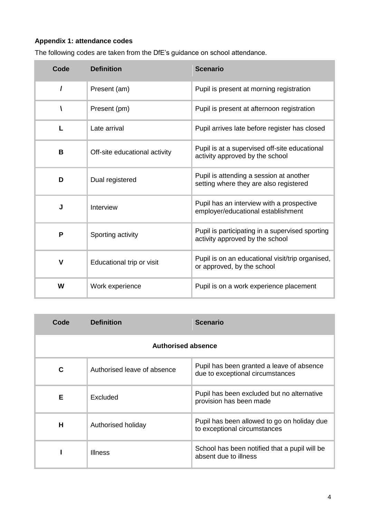## **Appendix 1: attendance codes**

| The fullowing coues are taken from the DIL's guidance on scribbilate had loe. |                               |                                                                                    |
|-------------------------------------------------------------------------------|-------------------------------|------------------------------------------------------------------------------------|
| Code                                                                          | <b>Definition</b>             | <b>Scenario</b>                                                                    |
| $\prime$                                                                      | Present (am)                  | Pupil is present at morning registration                                           |
| ١                                                                             | Present (pm)                  | Pupil is present at afternoon registration                                         |
| L                                                                             | Late arrival                  | Pupil arrives late before register has closed                                      |
| В                                                                             | Off-site educational activity | Pupil is at a supervised off-site educational<br>activity approved by the school   |
| D                                                                             | Dual registered               | Pupil is attending a session at another<br>setting where they are also registered  |
| J                                                                             | Interview                     | Pupil has an interview with a prospective<br>employer/educational establishment    |
| P                                                                             | Sporting activity             | Pupil is participating in a supervised sporting<br>activity approved by the school |
| $\mathsf{V}$                                                                  | Educational trip or visit     | Pupil is on an educational visit/trip organised,<br>or approved, by the school     |
|                                                                               |                               |                                                                                    |

The following codes are taken from the DfE's guidance on school attendance.

| Code                      | <b>Definition</b>           | <b>Scenario</b>                                                               |  |  |
|---------------------------|-----------------------------|-------------------------------------------------------------------------------|--|--|
| <b>Authorised absence</b> |                             |                                                                               |  |  |
| C                         | Authorised leave of absence | Pupil has been granted a leave of absence<br>due to exceptional circumstances |  |  |
| Е                         | Excluded                    | Pupil has been excluded but no alternative<br>provision has been made         |  |  |
| Н                         | Authorised holiday          | Pupil has been allowed to go on holiday due<br>to exceptional circumstances   |  |  |
|                           | <b>Illness</b>              | School has been notified that a pupil will be<br>absent due to illness        |  |  |

**W** Work experience **Pupil is on a work experience placement**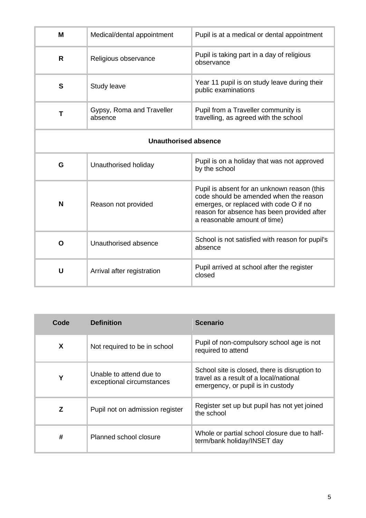| M                           | Medical/dental appointment           | Pupil is at a medical or dental appointment                                                                                                                                                                   |
|-----------------------------|--------------------------------------|---------------------------------------------------------------------------------------------------------------------------------------------------------------------------------------------------------------|
| R                           | Religious observance                 | Pupil is taking part in a day of religious<br>observance                                                                                                                                                      |
| S                           | Study leave                          | Year 11 pupil is on study leave during their<br>public examinations                                                                                                                                           |
| Т                           | Gypsy, Roma and Traveller<br>absence | Pupil from a Traveller community is<br>travelling, as agreed with the school                                                                                                                                  |
| <b>Unauthorised absence</b> |                                      |                                                                                                                                                                                                               |
| G                           | Unauthorised holiday                 | Pupil is on a holiday that was not approved<br>by the school                                                                                                                                                  |
| N                           | Reason not provided                  | Pupil is absent for an unknown reason (this<br>code should be amended when the reason<br>emerges, or replaced with code O if no<br>reason for absence has been provided after<br>a reasonable amount of time) |
| O                           | Unauthorised absence                 | School is not satisfied with reason for pupil's<br>absence                                                                                                                                                    |
| U                           | Arrival after registration           | Pupil arrived at school after the register<br>closed                                                                                                                                                          |

| Code | <b>Definition</b>                                    | <b>Scenario</b>                                                                                                              |
|------|------------------------------------------------------|------------------------------------------------------------------------------------------------------------------------------|
| X    | Not required to be in school                         | Pupil of non-compulsory school age is not<br>required to attend                                                              |
| Y    | Unable to attend due to<br>exceptional circumstances | School site is closed, there is disruption to<br>travel as a result of a local/national<br>emergency, or pupil is in custody |
| Z    | Pupil not on admission register                      | Register set up but pupil has not yet joined<br>the school                                                                   |
| #    | Planned school closure                               | Whole or partial school closure due to half-<br>term/bank holiday/INSET day                                                  |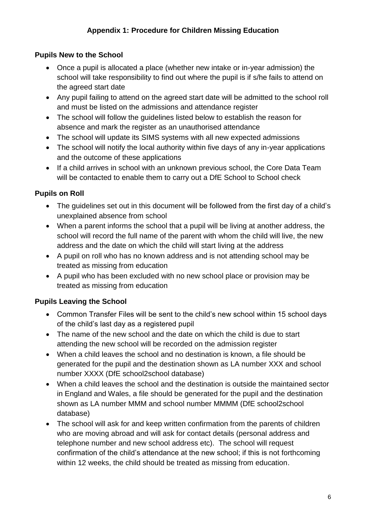# **Pupils New to the School**

- Once a pupil is allocated a place (whether new intake or in-year admission) the school will take responsibility to find out where the pupil is if s/he fails to attend on the agreed start date
- Any pupil failing to attend on the agreed start date will be admitted to the school roll and must be listed on the admissions and attendance register
- The school will follow the guidelines listed below to establish the reason for absence and mark the register as an unauthorised attendance
- The school will update its SIMS systems with all new expected admissions
- The school will notify the local authority within five days of any in-year applications and the outcome of these applications
- If a child arrives in school with an unknown previous school, the Core Data Team will be contacted to enable them to carry out a DfE School to School check

# **Pupils on Roll**

- The quidelines set out in this document will be followed from the first day of a child's unexplained absence from school
- When a parent informs the school that a pupil will be living at another address, the school will record the full name of the parent with whom the child will live, the new address and the date on which the child will start living at the address
- A pupil on roll who has no known address and is not attending school may be treated as missing from education
- A pupil who has been excluded with no new school place or provision may be treated as missing from education

# **Pupils Leaving the School**

- Common Transfer Files will be sent to the child's new school within 15 school days of the child's last day as a registered pupil
- The name of the new school and the date on which the child is due to start attending the new school will be recorded on the admission register
- When a child leaves the school and no destination is known, a file should be generated for the pupil and the destination shown as LA number XXX and school number XXXX (DfE school2school database)
- When a child leaves the school and the destination is outside the maintained sector in England and Wales, a file should be generated for the pupil and the destination shown as LA number MMM and school number MMMM (DfE school2school database)
- The school will ask for and keep written confirmation from the parents of children who are moving abroad and will ask for contact details (personal address and telephone number and new school address etc). The school will request confirmation of the child's attendance at the new school; if this is not forthcoming within 12 weeks, the child should be treated as missing from education.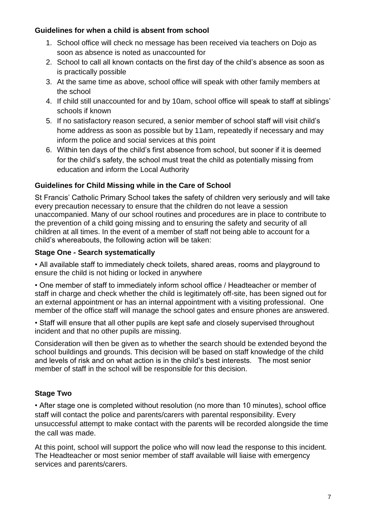## **Guidelines for when a child is absent from school**

- 1. School office will check no message has been received via teachers on Dojo as soon as absence is noted as unaccounted for
- 2. School to call all known contacts on the first day of the child's absence as soon as is practically possible
- 3. At the same time as above, school office will speak with other family members at the school
- 4. If child still unaccounted for and by 10am, school office will speak to staff at siblings' schools if known
- 5. If no satisfactory reason secured, a senior member of school staff will visit child's home address as soon as possible but by 11am, repeatedly if necessary and may inform the police and social services at this point
- 6. Within ten days of the child's first absence from school, but sooner if it is deemed for the child's safety, the school must treat the child as potentially missing from education and inform the Local Authority

# **Guidelines for Child Missing while in the Care of School**

St Francis' Catholic Primary School takes the safety of children very seriously and will take every precaution necessary to ensure that the children do not leave a session unaccompanied. Many of our school routines and procedures are in place to contribute to the prevention of a child going missing and to ensuring the safety and security of all children at all times. In the event of a member of staff not being able to account for a child's whereabouts, the following action will be taken:

# **Stage One - Search systematically**

• All available staff to immediately check toilets, shared areas, rooms and playground to ensure the child is not hiding or locked in anywhere

• One member of staff to immediately inform school office / Headteacher or member of staff in charge and check whether the child is legitimately off-site, has been signed out for an external appointment or has an internal appointment with a visiting professional. One member of the office staff will manage the school gates and ensure phones are answered.

• Staff will ensure that all other pupils are kept safe and closely supervised throughout incident and that no other pupils are missing.

Consideration will then be given as to whether the search should be extended beyond the school buildings and grounds. This decision will be based on staff knowledge of the child and levels of risk and on what action is in the child's best interests. The most senior member of staff in the school will be responsible for this decision.

# **Stage Two**

• After stage one is completed without resolution (no more than 10 minutes), school office staff will contact the police and parents/carers with parental responsibility. Every unsuccessful attempt to make contact with the parents will be recorded alongside the time the call was made.

At this point, school will support the police who will now lead the response to this incident. The Headteacher or most senior member of staff available will liaise with emergency services and parents/carers.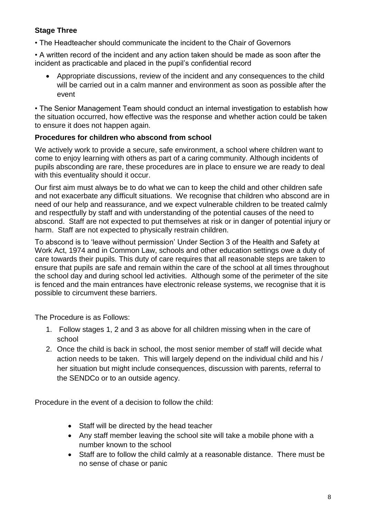# **Stage Three**

• The Headteacher should communicate the incident to the Chair of Governors

• A written record of the incident and any action taken should be made as soon after the incident as practicable and placed in the pupil's confidential record

 Appropriate discussions, review of the incident and any consequences to the child will be carried out in a calm manner and environment as soon as possible after the event

• The Senior Management Team should conduct an internal investigation to establish how the situation occurred, how effective was the response and whether action could be taken to ensure it does not happen again.

# **Procedures for children who abscond from school**

We actively work to provide a secure, safe environment, a school where children want to come to enjoy learning with others as part of a caring community. Although incidents of pupils absconding are rare, these procedures are in place to ensure we are ready to deal with this eventuality should it occur.

Our first aim must always be to do what we can to keep the child and other children safe and not exacerbate any difficult situations. We recognise that children who abscond are in need of our help and reassurance, and we expect vulnerable children to be treated calmly and respectfully by staff and with understanding of the potential causes of the need to abscond. Staff are not expected to put themselves at risk or in danger of potential injury or harm. Staff are not expected to physically restrain children.

To abscond is to 'leave without permission' Under Section 3 of the Health and Safety at Work Act, 1974 and in Common Law, schools and other education settings owe a duty of care towards their pupils. This duty of care requires that all reasonable steps are taken to ensure that pupils are safe and remain within the care of the school at all times throughout the school day and during school led activities. Although some of the perimeter of the site is fenced and the main entrances have electronic release systems, we recognise that it is possible to circumvent these barriers.

The Procedure is as Follows:

- 1. Follow stages 1, 2 and 3 as above for all children missing when in the care of school
- 2. Once the child is back in school, the most senior member of staff will decide what action needs to be taken. This will largely depend on the individual child and his / her situation but might include consequences, discussion with parents, referral to the SENDCo or to an outside agency.

Procedure in the event of a decision to follow the child:

- Staff will be directed by the head teacher
- Any staff member leaving the school site will take a mobile phone with a number known to the school
- Staff are to follow the child calmly at a reasonable distance. There must be no sense of chase or panic